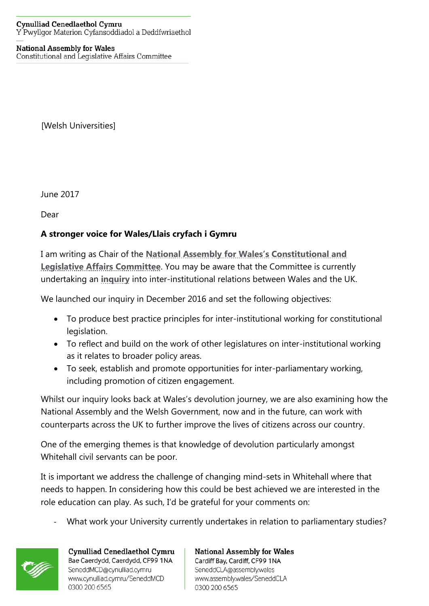## **National Assembly for Wales**

Constitutional and Legislative Affairs Committee

[Welsh Universities]

June 2017

Dear

## **A stronger voice for Wales/Llais cryfach i Gymru**

I am writing as Chair of the **[National Assembly for Wales's](http://www.assembly.wales/en/Pages/Home.aspx) [Constitutional and](http://www.assembly.wales/en/bus-home/committees/Pages/Committee-Profile.aspx?cid=434)  [Legislative Affairs Committee](http://www.assembly.wales/en/bus-home/committees/Pages/Committee-Profile.aspx?cid=434)**. You may be aware that the Committee is currently undertaking an **[inquiry](http://senedd.assembly.wales/mgIssueHistoryHome.aspx?IId=16613)** into inter-institutional relations between Wales and the UK.

We launched our inquiry in December 2016 and set the following objectives:

- To produce best practice principles for inter-institutional working for constitutional legislation.
- To reflect and build on the work of other legislatures on inter-institutional working as it relates to broader policy areas.
- To seek, establish and promote opportunities for inter-parliamentary working, including promotion of citizen engagement.

Whilst our inquiry looks back at Wales's devolution journey, we are also examining how the National Assembly and the Welsh Government, now and in the future, can work with counterparts across the UK to further improve the lives of citizens across our country.

One of the emerging themes is that knowledge of devolution particularly amongst Whitehall civil servants can be poor.

It is important we address the challenge of changing mind-sets in Whitehall where that needs to happen. In considering how this could be best achieved we are interested in the role education can play. As such, I'd be grateful for your comments on:

What work your University currently undertakes in relation to parliamentary studies?



Cynulliad Cenedlaethol Cymru Bae Caerdydd, Caerdydd, CF99 1NA SeneddMCD@cynulliad.cymru www.cynulliad.cymru/SeneddMCD 0300 200 6565

**National Assembly for Wales** Cardiff Bay, Cardiff, CF99 1NA SeneddCLA@assembly.wales www.assembly.wales/SeneddCLA 0300 200 6565